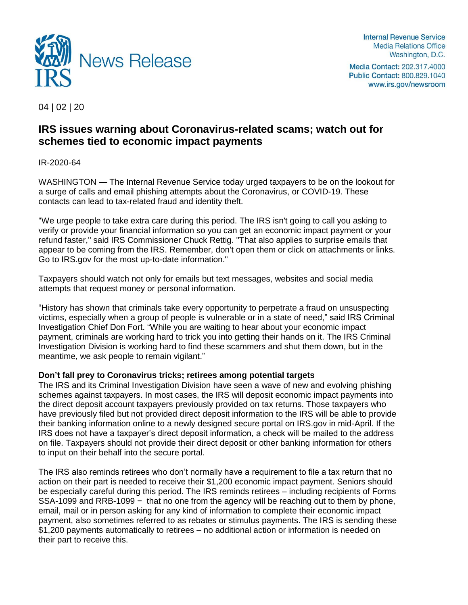

Media Contact: 202.317.4000 Public Contact: 800.829.1040 www.irs.gov/newsroom

04 | 02 | 20

## **IRS issues warning about Coronavirus-related scams; watch out for schemes tied to economic impact payments**

## IR-2020-64

WASHINGTON — The Internal Revenue Service today urged taxpayers to be on the lookout for a surge of calls and email phishing attempts about the Coronavirus, or COVID-19. These contacts can lead to tax-related fraud and identity theft.

"We urge people to take extra care during this period. The IRS isn't going to call you asking to verify or provide your financial information so you can get an economic impact payment or your refund faster," said IRS Commissioner Chuck Rettig. "That also applies to surprise emails that appear to be coming from the IRS. Remember, don't open them or click on attachments or links. Go to IRS.gov for the most up-to-date information."

Taxpayers should watch not only for emails but text messages, websites and social media attempts that request money or personal information.

"History has shown that criminals take every opportunity to perpetrate a fraud on unsuspecting victims, especially when a group of people is vulnerable or in a state of need," said IRS Criminal Investigation Chief Don Fort. "While you are waiting to hear about your economic impact payment, criminals are working hard to trick you into getting their hands on it. The IRS Criminal Investigation Division is working hard to find these scammers and shut them down, but in the meantime, we ask people to remain vigilant."

## **Don't fall prey to Coronavirus tricks; retirees among potential targets**

The IRS and its Criminal Investigation Division have seen a wave of new and evolving phishing schemes against taxpayers. In most cases, the IRS will deposit economic impact payments into the direct deposit account taxpayers previously provided on tax returns. Those taxpayers who have previously filed but not provided direct deposit information to the IRS will be able to provide their banking information online to a newly designed secure portal on IRS.gov in mid-April. If the IRS does not have a taxpayer's direct deposit information, a check will be mailed to the address on file. Taxpayers should not provide their direct deposit or other banking information for others to input on their behalf into the secure portal.

The IRS also reminds retirees who don't normally have a requirement to file a tax return that no action on their part is needed to receive their \$1,200 economic impact payment. Seniors should be especially careful during this period. The IRS reminds retirees – including recipients of Forms SSA-1099 and RRB-1099 − that no one from the agency will be reaching out to them by phone, email, mail or in person asking for any kind of information to complete their economic impact payment, also sometimes referred to as rebates or stimulus payments. The IRS is sending these \$1,200 payments automatically to retirees – no additional action or information is needed on their part to receive this.